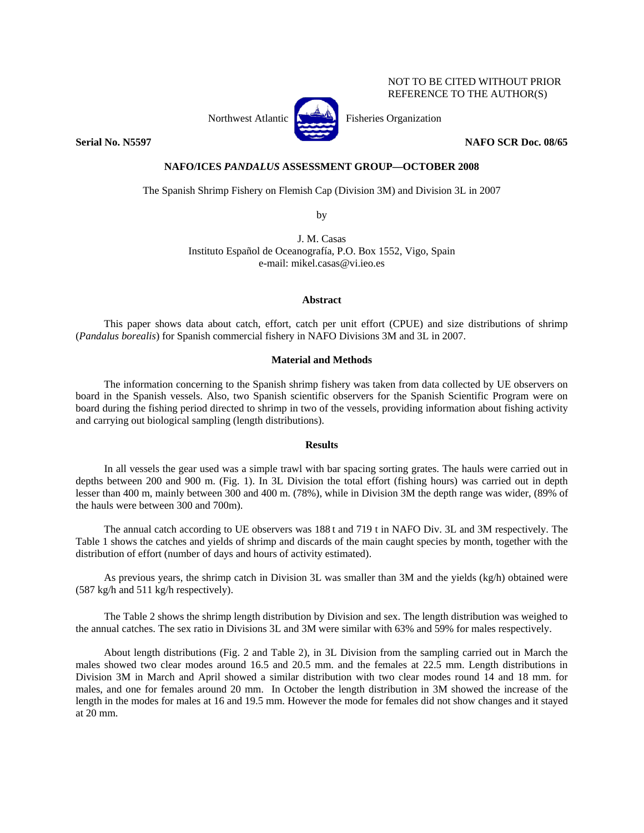# NOT TO BE CITED WITHOUT PRIOR REFERENCE TO THE AUTHOR(S)



Northwest Atlantic **No. 3. Expanding Property** Fisheries Organization

**Serial No. N5597** NAFO SCR Doc. 08/65

### **NAFO/ICES** *PANDALUS* **ASSESSMENT GROUP—OCTOBER 2008**

The Spanish Shrimp Fishery on Flemish Cap (Division 3M) and Division 3L in 2007

by

J. M. Casas Instituto Español de Oceanografía, P.O. Box 1552, Vigo, Spain e-mail: mikel.casas@vi.ieo.es

#### **Abstract**

This paper shows data about catch, effort, catch per unit effort (CPUE) and size distributions of shrimp (*Pandalus borealis*) for Spanish commercial fishery in NAFO Divisions 3M and 3L in 2007.

# **Material and Methods**

The information concerning to the Spanish shrimp fishery was taken from data collected by UE observers on board in the Spanish vessels. Also, two Spanish scientific observers for the Spanish Scientific Program were on board during the fishing period directed to shrimp in two of the vessels, providing information about fishing activity and carrying out biological sampling (length distributions).

#### **Results**

In all vessels the gear used was a simple trawl with bar spacing sorting grates. The hauls were carried out in depths between 200 and 900 m. (Fig. 1). In 3L Division the total effort (fishing hours) was carried out in depth lesser than 400 m, mainly between 300 and 400 m. (78%), while in Division 3M the depth range was wider, (89% of the hauls were between 300 and 700m).

The annual catch according to UE observers was 188 t and 719 t in NAFO Div. 3L and 3M respectively. The Table 1 shows the catches and yields of shrimp and discards of the main caught species by month, together with the distribution of effort (number of days and hours of activity estimated).

As previous years, the shrimp catch in Division 3L was smaller than 3M and the yields (kg/h) obtained were (587 kg/h and 511 kg/h respectively).

The Table 2 shows the shrimp length distribution by Division and sex. The length distribution was weighed to the annual catches. The sex ratio in Divisions 3L and 3M were similar with 63% and 59% for males respectively.

About length distributions (Fig. 2 and Table 2), in 3L Division from the sampling carried out in March the males showed two clear modes around 16.5 and 20.5 mm. and the females at 22.5 mm. Length distributions in Division 3M in March and April showed a similar distribution with two clear modes round 14 and 18 mm. for males, and one for females around 20 mm. In October the length distribution in 3M showed the increase of the length in the modes for males at 16 and 19.5 mm. However the mode for females did not show changes and it stayed at 20 mm.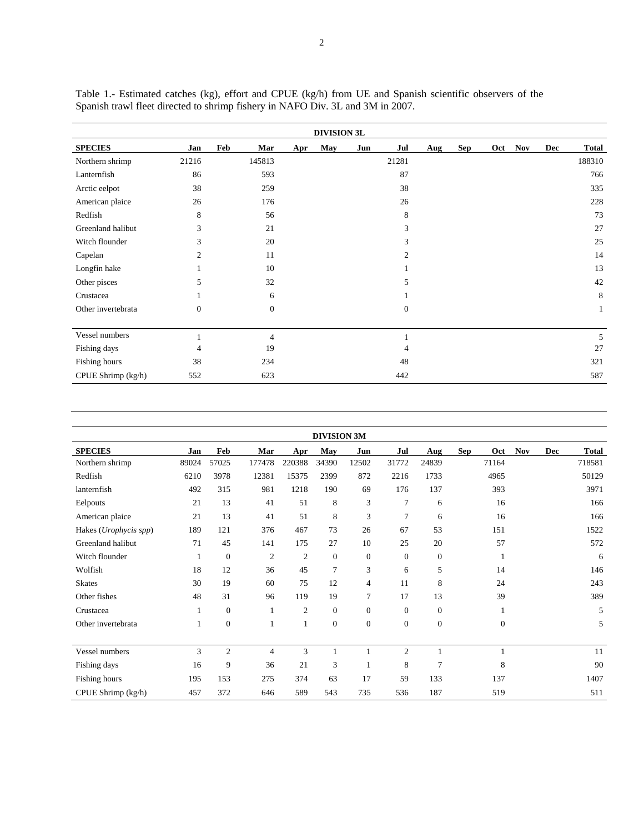| <b>DIVISION 3L</b> |              |              |     |     |     |                  |            |     |     |            |     |        |
|--------------------|--------------|--------------|-----|-----|-----|------------------|------------|-----|-----|------------|-----|--------|
| <b>SPECIES</b>     | Jan          | Feb<br>Mar   | Apr | May | Jun | Jul              | <b>Aug</b> | Sep | Oct | <b>Nov</b> | Dec | Total  |
| Northern shrimp    | 21216        | 145813       |     |     |     | 21281            |            |     |     |            |     | 188310 |
| Lanternfish        | 86           | 593          |     |     |     | 87               |            |     |     |            |     | 766    |
| Arctic eelpot      | 38           | 259          |     |     |     | 38               |            |     |     |            |     | 335    |
| American plaice    | 26           | 176          |     |     |     | 26               |            |     |     |            |     | 228    |
| Redfish            | 8            | 56           |     |     |     | 8                |            |     |     |            |     | 73     |
| Greenland halibut  | 3            | 21           |     |     |     | 3                |            |     |     |            |     | 27     |
| Witch flounder     | 3            | 20           |     |     |     | 3                |            |     |     |            |     | 25     |
| Capelan            | 2            | 11           |     |     |     | $\overline{c}$   |            |     |     |            |     | 14     |
| Longfin hake       |              | 10           |     |     |     |                  |            |     |     |            |     | 13     |
| Other pisces       | 5            | 32           |     |     |     | 5                |            |     |     |            |     | 42     |
| Crustacea          |              | 6            |     |     |     |                  |            |     |     |            |     | 8      |
| Other invertebrata | $\mathbf{0}$ | $\mathbf{0}$ |     |     |     | $\boldsymbol{0}$ |            |     |     |            |     | 1      |
| Vessel numbers     |              |              |     |     |     |                  |            |     |     |            |     |        |
|                    |              | 4            |     |     |     |                  |            |     |     |            |     | 5      |
| Fishing days       | 4            | 19           |     |     |     | 4                |            |     |     |            |     | 27     |
| Fishing hours      | 38           | 234          |     |     |     | 48               |            |     |     |            |     | 321    |
| CPUE Shrimp (kg/h) | 552          | 623          |     |     |     | 442              |            |     |     |            |     | 587    |

Table 1.- Estimated catches (kg), effort and CPUE (kg/h) from UE and Spanish scientific observers of the Spanish trawl fleet directed to shrimp fishery in NAFO Div. 3L and 3M in 2007.

| <b>DIVISION 3M</b>    |       |                |                |                |                |                  |                |                  |            |              |            |     |              |
|-----------------------|-------|----------------|----------------|----------------|----------------|------------------|----------------|------------------|------------|--------------|------------|-----|--------------|
| <b>SPECIES</b>        | Jan   | Feb            | Mar            | Apr            | May            | Jun              | Jul            | Aug              | <b>Sep</b> | Oct          | <b>Nov</b> | Dec | <b>Total</b> |
| Northern shrimp       | 89024 | 57025          | 177478         | 220388         | 34390          | 12502            | 31772          | 24839            |            | 71164        |            |     | 718581       |
| Redfish               | 6210  | 3978           | 12381          | 15375          | 2399           | 872              | 2216           | 1733             |            | 4965         |            |     | 50129        |
| lanternfish           | 492   | 315            | 981            | 1218           | 190            | 69               | 176            | 137              |            | 393          |            |     | 3971         |
| Eelpouts              | 21    | 13             | 41             | 51             | 8              | 3                | $\overline{7}$ | 6                |            | 16           |            |     | 166          |
| American plaice       | 21    | 13             | 41             | 51             | 8              | 3                | 7              | 6                |            | 16           |            |     | 166          |
| Hakes (Urophycis spp) | 189   | 121            | 376            | 467            | 73             | 26               | 67             | 53               |            | 151          |            |     | 1522         |
| Greenland halibut     | 71    | 45             | 141            | 175            | 27             | 10               | 25             | 20               |            | 57           |            |     | 572          |
| Witch flounder        | 1     | $\mathbf{0}$   | $\mathfrak{2}$ | $\mathfrak{2}$ | $\theta$       | $\mathbf{0}$     | $\overline{0}$ | $\mathbf{0}$     |            | $\mathbf{1}$ |            |     | 6            |
| Wolfish               | 18    | 12             | 36             | 45             | 7              | 3                | 6              | 5                |            | 14           |            |     | 146          |
| <b>Skates</b>         | 30    | 19             | 60             | 75             | 12             | $\overline{4}$   | 11             | 8                |            | 24           |            |     | 243          |
| Other fishes          | 48    | 31             | 96             | 119            | 19             | 7                | 17             | 13               |            | 39           |            |     | 389          |
| Crustacea             | 1     | $\mathbf{0}$   |                | $\overline{c}$ | $\overline{0}$ | $\mathbf{0}$     | $\overline{0}$ | $\mathbf{0}$     |            |              |            |     | 5            |
| Other invertebrata    | 1     | $\mathbf{0}$   |                | $\mathbf{1}$   | $\mathbf{0}$   | $\boldsymbol{0}$ | $\mathbf{0}$   | $\boldsymbol{0}$ |            | $\mathbf{0}$ |            |     | 5            |
|                       |       |                |                |                |                |                  |                |                  |            |              |            |     |              |
| Vessel numbers        | 3     | $\overline{c}$ | 4              | 3              | $\mathbf{1}$   |                  | $\overline{2}$ | 1                |            | $\mathbf{1}$ |            |     | 11           |
| Fishing days          | 16    | 9              | 36             | 21             | 3              | 1                | 8              | 7                |            | 8            |            |     | 90           |
| Fishing hours         | 195   | 153            | 275            | 374            | 63             | 17               | 59             | 133              |            | 137          |            |     | 1407         |
| CPUE Shrimp (kg/h)    | 457   | 372            | 646            | 589            | 543            | 735              | 536            | 187              |            | 519          |            |     | 511          |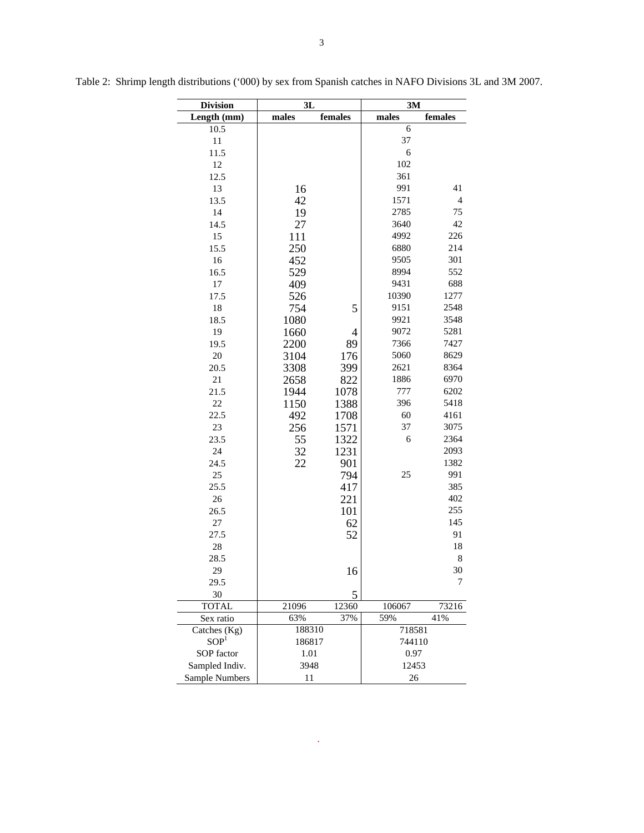| <b>Division</b>    | 3L     |                | 3M     |                |  |  |  |
|--------------------|--------|----------------|--------|----------------|--|--|--|
| Length (mm)        | males  | females        | males  | females        |  |  |  |
| 10.5               |        |                | 6      |                |  |  |  |
| 11                 |        |                | 37     |                |  |  |  |
| 11.5               |        |                | 6      |                |  |  |  |
| 12                 |        |                | 102    |                |  |  |  |
| 12.5               |        |                | 361    |                |  |  |  |
| 13                 | 16     |                | 991    | 41             |  |  |  |
| 13.5               | 42     |                | 1571   | $\overline{4}$ |  |  |  |
| 14                 | 19     |                | 2785   | 75             |  |  |  |
| 14.5               | 27     |                | 3640   | 42             |  |  |  |
| 15                 | 111    |                | 4992   | 226            |  |  |  |
| 15.5               | 250    |                | 6880   | 214            |  |  |  |
| 16                 | 452    |                | 9505   | 301            |  |  |  |
| 16.5               | 529    |                | 8994   | 552            |  |  |  |
| $17\,$             | 409    |                | 9431   | 688            |  |  |  |
| 17.5               | 526    |                | 10390  | 1277           |  |  |  |
| 18                 | 754    | 5              | 9151   | 2548           |  |  |  |
| 18.5               | 1080   |                | 9921   | 3548           |  |  |  |
| 19                 | 1660   | $\overline{4}$ | 9072   | 5281           |  |  |  |
| 19.5               | 2200   | 89             | 7366   | 7427           |  |  |  |
| $20\,$             | 3104   | 176            | 5060   | 8629           |  |  |  |
| 20.5               | 3308   | 399            | 2621   | 8364           |  |  |  |
| $21\,$             | 2658   | 822            | 1886   | 6970           |  |  |  |
| 21.5               | 1944   | 1078           | 777    | 6202           |  |  |  |
| 22                 | 1150   | 1388           | 396    | 5418           |  |  |  |
| 22.5               | 492    | 1708           | 60     | 4161           |  |  |  |
| 23                 | 256    | 1571           | 37     | 3075           |  |  |  |
| 23.5               | 55     | 1322           | 6      | 2364           |  |  |  |
| 24                 | 32     | 1231           |        | 2093           |  |  |  |
| 24.5               | 22     | 901            |        | 1382           |  |  |  |
| 25                 |        | 794            | 25     | 991            |  |  |  |
| 25.5               |        | 417            |        | 385            |  |  |  |
| 26                 |        | 221            |        | 402            |  |  |  |
| 26.5               |        | 101            |        | 255            |  |  |  |
| 27                 |        | 62             |        | 145            |  |  |  |
| 27.5               |        | 52             |        | 91             |  |  |  |
| $28\,$             |        |                |        | 18             |  |  |  |
| 28.5               |        |                |        | 8              |  |  |  |
| 29                 |        | 16             |        | 30             |  |  |  |
| 29.5               |        | 5              |        | 7              |  |  |  |
| 30<br><b>TOTAL</b> | 21096  | 12360          | 106067 | 73216          |  |  |  |
| Sex ratio          | 63%    | 37%            | 59%    | 41%            |  |  |  |
| Catches (Kg)       | 188310 |                | 718581 |                |  |  |  |
| SOP <sup>1</sup>   | 186817 |                | 744110 |                |  |  |  |
| SOP factor         | 1.01   |                | 0.97   |                |  |  |  |
| Sampled Indiv.     | 3948   |                | 12453  |                |  |  |  |
| Sample Numbers     | 11     |                | 26     |                |  |  |  |

Table 2: Shrimp length distributions ('000) by sex from Spanish catches in NAFO Divisions 3L and 3M 2007.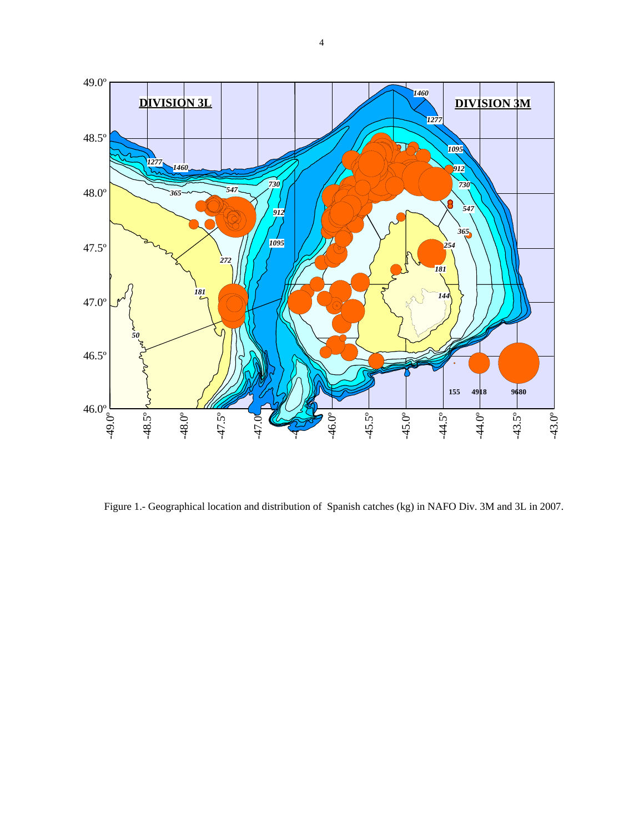

Figure 1.- Geographical location and distribution of Spanish catches (kg) in NAFO Div. 3M and 3L in 2007.